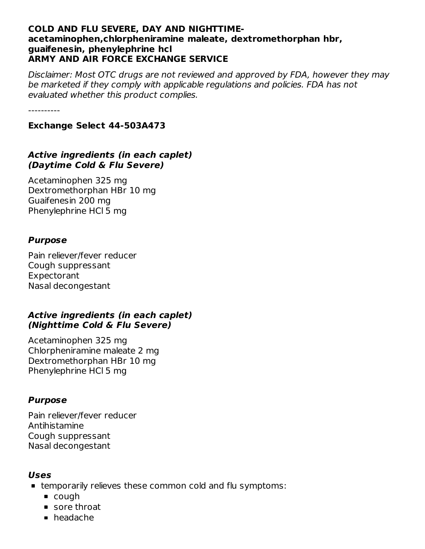#### **COLD AND FLU SEVERE, DAY AND NIGHTTIMEacetaminophen,chlorpheniramine maleate, dextromethorphan hbr, guaifenesin, phenylephrine hcl ARMY AND AIR FORCE EXCHANGE SERVICE**

Disclaimer: Most OTC drugs are not reviewed and approved by FDA, however they may be marketed if they comply with applicable regulations and policies. FDA has not evaluated whether this product complies.

----------

**Exchange Select 44-503A473**

#### **Active ingredients (in each caplet) (Daytime Cold & Flu Severe)**

Acetaminophen 325 mg Dextromethorphan HBr 10 mg Guaifenesin 200 mg Phenylephrine HCl 5 mg

#### **Purpose**

Pain reliever/fever reducer Cough suppressant Expectorant Nasal decongestant

#### **Active ingredients (in each caplet) (Nighttime Cold & Flu Severe)**

Acetaminophen 325 mg Chlorpheniramine maleate 2 mg Dextromethorphan HBr 10 mg Phenylephrine HCl 5 mg

## **Purpose**

Pain reliever/fever reducer Antihistamine Cough suppressant Nasal decongestant

#### **Uses**

- temporarily relieves these common cold and flu symptoms:
	- cough
	- sore throat
	- headache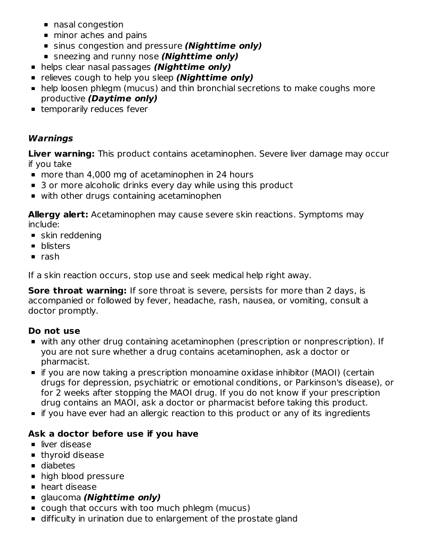- nasal congestion
- minor aches and pains
- sinus congestion and pressure **(Nighttime only)**
- sneezing and runny nose **(Nighttime only)**
- helps clear nasal passages **(Nighttime only)**
- **Example 1** relieves cough to help you sleep **(Nighttime only)**
- help loosen phlegm (mucus) and thin bronchial secretions to make coughs more productive **(Daytime only)**
- **Example 1** temporarily reduces fever

## **Warnings**

**Liver warning:** This product contains acetaminophen. Severe liver damage may occur if you take

- more than 4,000 mg of acetaminophen in 24 hours
- 3 or more alcoholic drinks every day while using this product
- with other drugs containing acetaminophen

**Allergy alert:** Acetaminophen may cause severe skin reactions. Symptoms may include:

- **skin reddening**
- **•** blisters
- $rac{1}{2}$  rash

If a skin reaction occurs, stop use and seek medical help right away.

**Sore throat warning:** If sore throat is severe, persists for more than 2 days, is accompanied or followed by fever, headache, rash, nausea, or vomiting, consult a doctor promptly.

## **Do not use**

- with any other drug containing acetaminophen (prescription or nonprescription). If you are not sure whether a drug contains acetaminophen, ask a doctor or pharmacist.
- if you are now taking a prescription monoamine oxidase inhibitor (MAOI) (certain drugs for depression, psychiatric or emotional conditions, or Parkinson's disease), or for 2 weeks after stopping the MAOI drug. If you do not know if your prescription drug contains an MAOI, ask a doctor or pharmacist before taking this product.
- **If you have ever had an allergic reaction to this product or any of its ingredients**

## **Ask a doctor before use if you have**

- liver disease
- **thyroid disease**
- diabetes
- high blood pressure
- **heart disease**
- glaucoma **(Nighttime only)**
- cough that occurs with too much phlegm (mucus)
- difficulty in urination due to enlargement of the prostate gland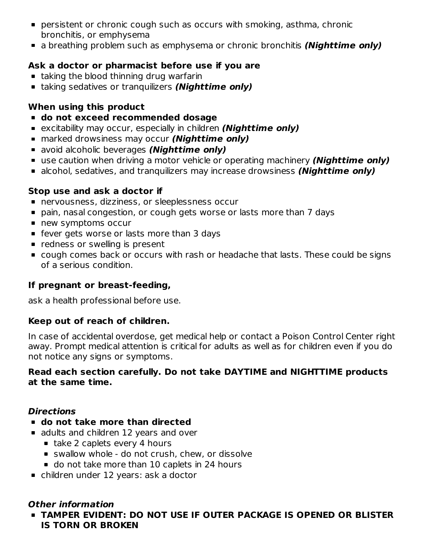- persistent or chronic cough such as occurs with smoking, asthma, chronic bronchitis, or emphysema
- a breathing problem such as emphysema or chronic bronchitis **(Nighttime only)**

## **Ask a doctor or pharmacist before use if you are**

- **taking the blood thinning drug warfarin**
- taking sedatives or tranquilizers **(Nighttime only)**

# **When using this product**

- **do not exceed recommended dosage**
- excitability may occur, especially in children **(Nighttime only)**
- marked drowsiness may occur **(Nighttime only)**
- avoid alcoholic beverages **(Nighttime only)**
- use caution when driving a motor vehicle or operating machinery **(Nighttime only)**
- alcohol, sedatives, and tranquilizers may increase drowsiness **(Nighttime only)**

## **Stop use and ask a doctor if**

- nervousness, dizziness, or sleeplessness occur
- pain, nasal congestion, or cough gets worse or lasts more than 7 days
- **new symptoms occur**
- **F** fever gets worse or lasts more than 3 days
- **Periode** redness or swelling is present
- cough comes back or occurs with rash or headache that lasts. These could be signs of a serious condition.

## **If pregnant or breast-feeding,**

ask a health professional before use.

## **Keep out of reach of children.**

In case of accidental overdose, get medical help or contact a Poison Control Center right away. Prompt medical attention is critical for adults as well as for children even if you do not notice any signs or symptoms.

## **Read each section carefully. Do not take DAYTIME and NIGHTTIME products at the same time.**

## **Directions**

- **do not take more than directed**
- **a** adults and children 12 years and over
	- take 2 caplets every 4 hours
	- swallow whole do not crush, chew, or dissolve
	- do not take more than 10 caplets in 24 hours
- children under 12 years: ask a doctor

## **Other information**

**TAMPER EVIDENT: DO NOT USE IF OUTER PACKAGE IS OPENED OR BLISTER IS TORN OR BROKEN**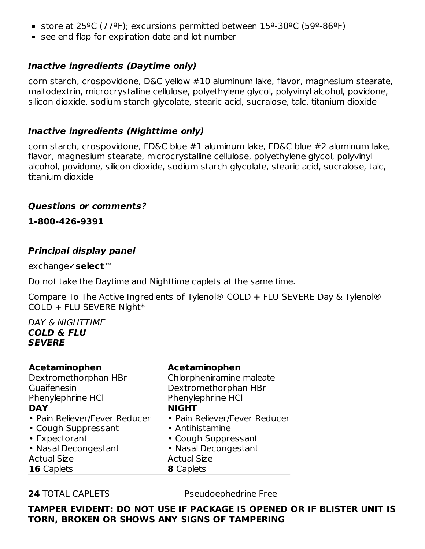- store at 25ºC (77ºF); excursions permitted between 15º-30ºC (59º-86ºF)
- **see end flap for expiration date and lot number**

## **Inactive ingredients (Daytime only)**

corn starch, crospovidone, D&C yellow #10 aluminum lake, flavor, magnesium stearate, maltodextrin, microcrystalline cellulose, polyethylene glycol, polyvinyl alcohol, povidone, silicon dioxide, sodium starch glycolate, stearic acid, sucralose, talc, titanium dioxide

## **Inactive ingredients (Nighttime only)**

corn starch, crospovidone, FD&C blue #1 aluminum lake, FD&C blue #2 aluminum lake, flavor, magnesium stearate, microcrystalline cellulose, polyethylene glycol, polyvinyl alcohol, povidone, silicon dioxide, sodium starch glycolate, stearic acid, sucralose, talc, titanium dioxide

#### **Questions or comments?**

**1-800-426-9391**

## **Principal display panel**

exchange✓**select**™

Do not take the Daytime and Nighttime caplets at the same time.

Compare To The Active Ingredients of Tylenol® COLD + FLU SEVERE Day & Tylenol® COLD + FLU SEVERE Night\*

#### DAY & NIGHTTIME **COLD & FLU SEVERE**

| <b>Acetaminophen</b>          | <b>Acetaminophen</b>          |
|-------------------------------|-------------------------------|
| Dextromethorphan HBr          | Chlorpheniramine maleate      |
| Guaifenesin                   | Dextromethorphan HBr          |
| Phenylephrine HCl             | Phenylephrine HCI             |
| <b>DAY</b>                    | <b>NIGHT</b>                  |
| • Pain Reliever/Fever Reducer | • Pain Reliever/Fever Reducer |
| • Cough Suppressant           | • Antihistamine               |
| • Expectorant                 | • Cough Suppressant           |
| • Nasal Decongestant          | • Nasal Decongestant          |
| <b>Actual Size</b>            | <b>Actual Size</b>            |
| <b>16</b> Caplets             | <b>8</b> Caplets              |

**24** TOTAL CAPLETS Pseudoephedrine Free

**TAMPER EVIDENT: DO NOT USE IF PACKAGE IS OPENED OR IF BLISTER UNIT IS TORN, BROKEN OR SHOWS ANY SIGNS OF TAMPERING**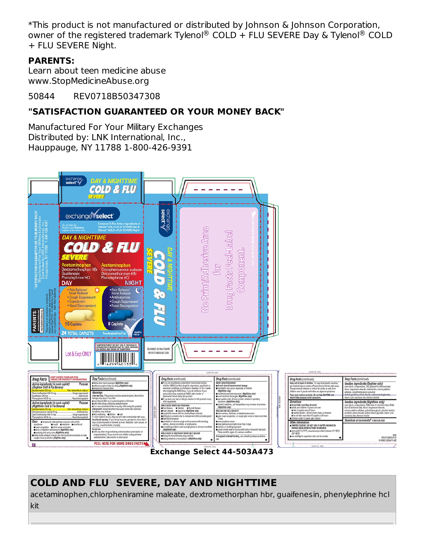\*This product is not manufactured or distributed by Johnson & Johnson Corporation, owner of the registered trademark Tylenol® COLD + FLU SEVERE Day & Tylenol® COLD + FLU SEVERE Night.

## **PARENTS:**

Learn about teen medicine abuse www.StopMedicineAbuse.org

50844 REV0718B50347308

# **"SATISFACTION GUARANTEED OR YOUR MONEY BACK"**

Manufactured For Your Military Exchanges Distributed by: LNK International, Inc., Hauppauge, NY 11788 1-800-426-9391



**Exchange Select 44-503A473**

# **COLD AND FLU SEVERE, DAY AND NIGHTTIME**

acetaminophen,chlorpheniramine maleate, dextromethorphan hbr, guaifenesin, phenylephrine hcl kit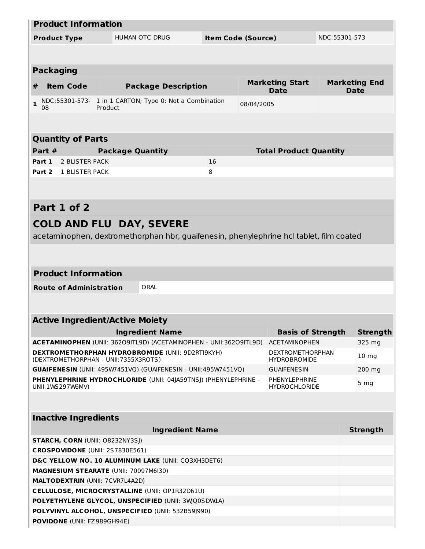|                                                                                     |                                                | <b>Product Information</b>     |                                        |                                                                                         |    |                                       |                                       |                 |                              |  |
|-------------------------------------------------------------------------------------|------------------------------------------------|--------------------------------|----------------------------------------|-----------------------------------------------------------------------------------------|----|---------------------------------------|---------------------------------------|-----------------|------------------------------|--|
| <b>HUMAN OTC DRUG</b><br><b>Product Type</b>                                        |                                                |                                |                                        |                                                                                         |    | <b>Item Code (Source)</b>             |                                       | NDC:55301-573   |                              |  |
|                                                                                     |                                                |                                |                                        |                                                                                         |    |                                       |                                       |                 |                              |  |
|                                                                                     |                                                |                                |                                        |                                                                                         |    |                                       |                                       |                 |                              |  |
|                                                                                     |                                                | <b>Packaging</b>               |                                        |                                                                                         |    |                                       |                                       |                 |                              |  |
| #                                                                                   |                                                | <b>Item Code</b>               |                                        | <b>Package Description</b>                                                              |    |                                       | <b>Marketing Start</b><br><b>Date</b> |                 | <b>Marketing End</b><br>Date |  |
| $\mathbf{1}$                                                                        |                                                |                                |                                        | NDC:55301-573- 1 in 1 CARTON; Type 0: Not a Combination                                 |    | 08/04/2005                            |                                       |                 |                              |  |
|                                                                                     | 08                                             |                                | Product                                |                                                                                         |    |                                       |                                       |                 |                              |  |
|                                                                                     |                                                |                                |                                        |                                                                                         |    |                                       |                                       |                 |                              |  |
|                                                                                     |                                                | <b>Quantity of Parts</b>       |                                        |                                                                                         |    |                                       |                                       |                 |                              |  |
|                                                                                     | Part $#$                                       |                                | <b>Package Quantity</b>                |                                                                                         |    |                                       | <b>Total Product Quantity</b>         |                 |                              |  |
| Part 1                                                                              |                                                | 2 BLISTER PACK                 |                                        |                                                                                         | 16 |                                       |                                       |                 |                              |  |
| Part 2                                                                              |                                                | 1 BLISTER PACK                 |                                        |                                                                                         | 8  |                                       |                                       |                 |                              |  |
|                                                                                     |                                                |                                |                                        |                                                                                         |    |                                       |                                       |                 |                              |  |
|                                                                                     |                                                |                                |                                        |                                                                                         |    |                                       |                                       |                 |                              |  |
|                                                                                     |                                                | Part 1 of 2                    |                                        |                                                                                         |    |                                       |                                       |                 |                              |  |
|                                                                                     |                                                |                                |                                        |                                                                                         |    |                                       |                                       |                 |                              |  |
|                                                                                     |                                                |                                |                                        | <b>COLD AND FLU DAY, SEVERE</b>                                                         |    |                                       |                                       |                 |                              |  |
|                                                                                     |                                                |                                |                                        | acetaminophen, dextromethorphan hbr, guaifenesin, phenylephrine hcl tablet, film coated |    |                                       |                                       |                 |                              |  |
|                                                                                     |                                                |                                |                                        |                                                                                         |    |                                       |                                       |                 |                              |  |
|                                                                                     |                                                |                                |                                        |                                                                                         |    |                                       |                                       |                 |                              |  |
|                                                                                     |                                                | <b>Product Information</b>     |                                        |                                                                                         |    |                                       |                                       |                 |                              |  |
|                                                                                     |                                                | <b>Route of Administration</b> |                                        | ORAL                                                                                    |    |                                       |                                       |                 |                              |  |
|                                                                                     |                                                |                                |                                        |                                                                                         |    |                                       |                                       |                 |                              |  |
|                                                                                     |                                                |                                |                                        |                                                                                         |    |                                       |                                       |                 |                              |  |
|                                                                                     |                                                |                                | <b>Active Ingredient/Active Moiety</b> |                                                                                         |    |                                       |                                       |                 |                              |  |
|                                                                                     |                                                |                                |                                        | <b>Ingredient Name</b>                                                                  |    |                                       | <b>Basis of Strength</b>              |                 | <b>Strength</b>              |  |
|                                                                                     |                                                |                                |                                        | ACETAMINOPHEN (UNII: 36209ITL9D) (ACETAMINOPHEN - UNII:36209ITL9D)                      |    |                                       | <b>ACETAMINOPHEN</b>                  | 325 mg          |                              |  |
|                                                                                     |                                                |                                |                                        | <b>DEXTROMETHORPHAN HYDROBROMIDE (UNII: 9D2RTI9KYH)</b>                                 |    |                                       | <b>DEXTROMETHORPHAN</b>               |                 | 10 <sub>mg</sub>             |  |
|                                                                                     |                                                |                                | (DEXTROMETHORPHAN - UNII:7355X3ROTS)   |                                                                                         |    |                                       | <b>HYDROBROMIDE</b>                   |                 |                              |  |
| GUAIFENESIN (UNII: 495W7451VQ) (GUAIFENESIN - UNII:495W7451VQ)                      |                                                |                                |                                        |                                                                                         |    | <b>GUAIFENESIN</b>                    |                                       | 200 mg          |                              |  |
| PHENYLEPHRINE HYDROCHLORIDE (UNII: 04 A59TNS)) (PHENYLEPHRINE -<br>UNII:1WS297W6MV) |                                                |                                |                                        |                                                                                         |    | PHENYLEPHRINE<br><b>HYDROCHLORIDE</b> |                                       | 5 <sub>mg</sub> |                              |  |
|                                                                                     |                                                |                                |                                        |                                                                                         |    |                                       |                                       |                 |                              |  |
|                                                                                     |                                                |                                |                                        |                                                                                         |    |                                       |                                       |                 |                              |  |
|                                                                                     |                                                | <b>Inactive Ingredients</b>    |                                        |                                                                                         |    |                                       |                                       |                 |                              |  |
|                                                                                     |                                                |                                |                                        | <b>Ingredient Name</b>                                                                  |    |                                       |                                       |                 | <b>Strength</b>              |  |
|                                                                                     |                                                |                                | <b>STARCH, CORN (UNII: O8232NY3SJ)</b> |                                                                                         |    |                                       |                                       |                 |                              |  |
|                                                                                     |                                                |                                | CROSPOVIDONE (UNII: 2S7830E561)        |                                                                                         |    |                                       |                                       |                 |                              |  |
|                                                                                     |                                                |                                |                                        | D&C YELLOW NO. 10 ALUMINUM LAKE (UNII: CQ3XH3DET6)                                      |    |                                       |                                       |                 |                              |  |
|                                                                                     | MAGNESIUM STEARATE (UNII: 70097M6I30)          |                                |                                        |                                                                                         |    |                                       |                                       |                 |                              |  |
|                                                                                     | <b>MALTODEXTRIN (UNII: 7CVR7L4A2D)</b>         |                                |                                        |                                                                                         |    |                                       |                                       |                 |                              |  |
|                                                                                     | CELLULOSE, MICROCRYSTALLINE (UNII: OP1R32D61U) |                                |                                        |                                                                                         |    |                                       |                                       |                 |                              |  |
|                                                                                     |                                                |                                |                                        | POLYETHYLENE GLYCOL, UNSPECIFIED (UNII: 3WQ0SDWLA)                                      |    |                                       |                                       |                 |                              |  |
|                                                                                     |                                                |                                |                                        | POLYVINYL ALCOHOL, UNSPECIFIED (UNII: 532B59J990)                                       |    |                                       |                                       |                 |                              |  |
|                                                                                     |                                                |                                | POVIDONE (UNII: FZ989GH94E)            |                                                                                         |    |                                       |                                       |                 |                              |  |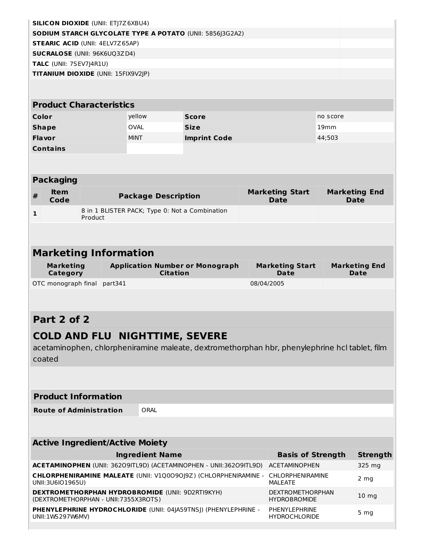| <b>SILICON DIOXIDE (UNII: ETJ7Z6XBU4)</b>                                                  |                                                                                                                                                                       |                                                |                                                                                               |                                       |                          |                                     |  |  |
|--------------------------------------------------------------------------------------------|-----------------------------------------------------------------------------------------------------------------------------------------------------------------------|------------------------------------------------|-----------------------------------------------------------------------------------------------|---------------------------------------|--------------------------|-------------------------------------|--|--|
|                                                                                            |                                                                                                                                                                       |                                                | SODIUM STARCH GLYCOLATE TYPE A POTATO (UNII: 5856J3G2A2)                                      |                                       |                          |                                     |  |  |
|                                                                                            | <b>STEARIC ACID (UNII: 4ELV7Z65AP)</b>                                                                                                                                |                                                |                                                                                               |                                       |                          |                                     |  |  |
|                                                                                            | <b>SUCRALOSE (UNII: 96K6UQ3ZD4)</b>                                                                                                                                   |                                                |                                                                                               |                                       |                          |                                     |  |  |
| TALC (UNII: 7SEV7J4R1U)                                                                    |                                                                                                                                                                       |                                                |                                                                                               |                                       |                          |                                     |  |  |
|                                                                                            | TITANIUM DIOXIDE (UNII: 15FIX9V2JP)                                                                                                                                   |                                                |                                                                                               |                                       |                          |                                     |  |  |
|                                                                                            |                                                                                                                                                                       |                                                |                                                                                               |                                       |                          |                                     |  |  |
|                                                                                            | <b>Product Characteristics</b>                                                                                                                                        |                                                |                                                                                               |                                       |                          |                                     |  |  |
|                                                                                            |                                                                                                                                                                       |                                                |                                                                                               |                                       |                          |                                     |  |  |
| Color                                                                                      |                                                                                                                                                                       | yellow                                         | <b>Score</b>                                                                                  |                                       | no score                 |                                     |  |  |
| <b>Shape</b>                                                                               |                                                                                                                                                                       | <b>OVAL</b>                                    | <b>Size</b>                                                                                   |                                       | 19mm                     |                                     |  |  |
| Flavor                                                                                     |                                                                                                                                                                       | <b>MINT</b>                                    | <b>Imprint Code</b>                                                                           |                                       | 44;503                   |                                     |  |  |
| <b>Contains</b>                                                                            |                                                                                                                                                                       |                                                |                                                                                               |                                       |                          |                                     |  |  |
|                                                                                            |                                                                                                                                                                       |                                                |                                                                                               |                                       |                          |                                     |  |  |
| <b>Packaging</b>                                                                           |                                                                                                                                                                       |                                                |                                                                                               |                                       |                          |                                     |  |  |
|                                                                                            |                                                                                                                                                                       |                                                |                                                                                               |                                       |                          |                                     |  |  |
| <b>Item</b><br>#<br>Code                                                                   |                                                                                                                                                                       | <b>Package Description</b>                     |                                                                                               | <b>Marketing Start</b><br><b>Date</b> |                          | <b>Marketing End</b><br><b>Date</b> |  |  |
| $\mathbf{1}$                                                                               |                                                                                                                                                                       | 8 in 1 BLISTER PACK; Type 0: Not a Combination |                                                                                               |                                       |                          |                                     |  |  |
|                                                                                            | Product                                                                                                                                                               |                                                |                                                                                               |                                       |                          |                                     |  |  |
|                                                                                            |                                                                                                                                                                       |                                                |                                                                                               |                                       |                          |                                     |  |  |
|                                                                                            |                                                                                                                                                                       |                                                |                                                                                               |                                       |                          |                                     |  |  |
|                                                                                            | <b>Marketing Information</b>                                                                                                                                          |                                                |                                                                                               |                                       |                          |                                     |  |  |
| <b>Marketing</b>                                                                           |                                                                                                                                                                       |                                                | <b>Application Number or Monograph</b>                                                        | <b>Marketing Start</b>                |                          | <b>Marketing End</b>                |  |  |
| Category                                                                                   |                                                                                                                                                                       | <b>Citation</b>                                |                                                                                               | Date                                  |                          | Date                                |  |  |
| OTC monograph final                                                                        | part341                                                                                                                                                               |                                                |                                                                                               | 08/04/2005                            |                          |                                     |  |  |
|                                                                                            |                                                                                                                                                                       |                                                |                                                                                               |                                       |                          |                                     |  |  |
|                                                                                            |                                                                                                                                                                       |                                                |                                                                                               |                                       |                          |                                     |  |  |
| Part 2 of 2                                                                                |                                                                                                                                                                       |                                                |                                                                                               |                                       |                          |                                     |  |  |
|                                                                                            |                                                                                                                                                                       |                                                |                                                                                               |                                       |                          |                                     |  |  |
|                                                                                            |                                                                                                                                                                       | <b>COLD AND FLU NIGHTTIME, SEVERE</b>          |                                                                                               |                                       |                          |                                     |  |  |
|                                                                                            |                                                                                                                                                                       |                                                | acetaminophen, chlorpheniramine maleate, dextromethorphan hbr, phenylephrine hcl tablet, film |                                       |                          |                                     |  |  |
| coated                                                                                     |                                                                                                                                                                       |                                                |                                                                                               |                                       |                          |                                     |  |  |
|                                                                                            |                                                                                                                                                                       |                                                |                                                                                               |                                       |                          |                                     |  |  |
|                                                                                            |                                                                                                                                                                       |                                                |                                                                                               |                                       |                          |                                     |  |  |
| <b>Product Information</b>                                                                 |                                                                                                                                                                       |                                                |                                                                                               |                                       |                          |                                     |  |  |
|                                                                                            | <b>Route of Administration</b>                                                                                                                                        |                                                |                                                                                               |                                       |                          |                                     |  |  |
|                                                                                            | ORAL                                                                                                                                                                  |                                                |                                                                                               |                                       |                          |                                     |  |  |
|                                                                                            |                                                                                                                                                                       |                                                |                                                                                               |                                       |                          |                                     |  |  |
| <b>Active Ingredient/Active Moiety</b>                                                     |                                                                                                                                                                       |                                                |                                                                                               |                                       |                          |                                     |  |  |
|                                                                                            |                                                                                                                                                                       | <b>Ingredient Name</b>                         |                                                                                               |                                       | <b>Basis of Strength</b> | <b>Strength</b>                     |  |  |
|                                                                                            | ACETAMINOPHEN (UNII: 36209ITL9D) (ACETAMINOPHEN - UNII:36209ITL9D)                                                                                                    | <b>ACETAMINOPHEN</b>                           |                                                                                               | 325 mg                                |                          |                                     |  |  |
| CHLORPHENIRAMINE MALEATE (UNII: V1Q0090J9Z) (CHLORPHENIRAMINE -<br><b>CHLORPHENIRAMINE</b> |                                                                                                                                                                       |                                                |                                                                                               |                                       |                          |                                     |  |  |
| 2 <sub>mg</sub><br>UNII: 3U6IO1965U)<br><b>MALEATE</b>                                     |                                                                                                                                                                       |                                                |                                                                                               |                                       |                          |                                     |  |  |
|                                                                                            | <b>DEXTROMETHORPHAN HYDROBROMIDE (UNII: 9D2RTI9KYH)</b><br><b>DEXTROMETHORPHAN</b><br>10 <sub>mg</sub><br>(DEXTROMETHORPHAN - UNII:7355X3ROTS)<br><b>HYDROBROMIDE</b> |                                                |                                                                                               |                                       |                          |                                     |  |  |
| PHENYLEPHRINE HYDROCHLORIDE (UNII: 04JA59TNSJ) (PHENYLEPHRINE -<br>PHENYLEPHRINE           |                                                                                                                                                                       |                                                |                                                                                               |                                       |                          |                                     |  |  |
| 5 <sub>mg</sub><br>UNII:1WS297W6MV)<br><b>HYDROCHLORIDE</b>                                |                                                                                                                                                                       |                                                |                                                                                               |                                       |                          |                                     |  |  |
|                                                                                            |                                                                                                                                                                       |                                                |                                                                                               |                                       |                          |                                     |  |  |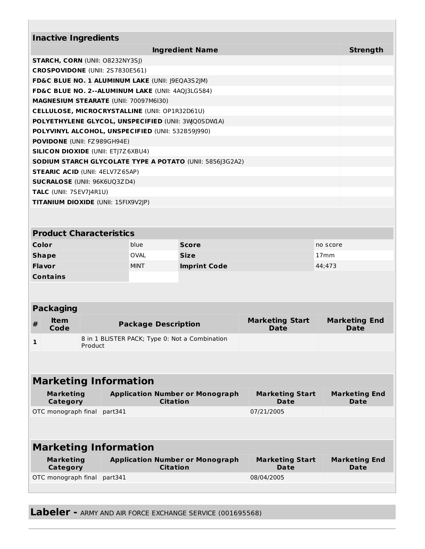| <b>Inactive Ingredients</b>                                      |                                                                                     |         |         |                            |                 |                                                                 |  |                        |          |                      |
|------------------------------------------------------------------|-------------------------------------------------------------------------------------|---------|---------|----------------------------|-----------------|-----------------------------------------------------------------|--|------------------------|----------|----------------------|
| <b>Ingredient Name</b><br><b>STARCH, CORN (UNII: O8232NY3SJ)</b> |                                                                                     |         |         |                            |                 |                                                                 |  | <b>Strength</b>        |          |                      |
|                                                                  |                                                                                     |         |         |                            |                 |                                                                 |  |                        |          |                      |
|                                                                  | CROSPOVIDONE (UNII: 2S7830E561)<br>FD&C BLUE NO. 1 ALUMINUM LAKE (UNII: J9EQA3S2JM) |         |         |                            |                 |                                                                 |  |                        |          |                      |
|                                                                  |                                                                                     |         |         |                            |                 | FD&C BLUE NO. 2--ALUMINUM LAKE (UNII: 4AQJ3LG584)               |  |                        |          |                      |
|                                                                  | <b>MAGNESIUM STEARATE (UNII: 70097M6I30)</b>                                        |         |         |                            |                 |                                                                 |  |                        |          |                      |
|                                                                  | <b>CELLULOSE, MICROCRYSTALLINE (UNII: OP1R32D61U)</b>                               |         |         |                            |                 |                                                                 |  |                        |          |                      |
|                                                                  |                                                                                     |         |         |                            |                 | POLYETHYLENE GLYCOL, UNSPECIFIED (UNII: 3WQ0SDWLA)              |  |                        |          |                      |
|                                                                  |                                                                                     |         |         |                            |                 | POLYVINYL ALCOHOL, UNSPECIFIED (UNII: 532B59J990)               |  |                        |          |                      |
|                                                                  | <b>POVIDONE</b> (UNII: FZ989GH94E)                                                  |         |         |                            |                 |                                                                 |  |                        |          |                      |
|                                                                  | <b>SILICON DIOXIDE (UNII: ETJ7Z6XBU4)</b>                                           |         |         |                            |                 |                                                                 |  |                        |          |                      |
|                                                                  |                                                                                     |         |         |                            |                 | <b>SODIUM STARCH GLYCOLATE TYPE A POTATO (UNII: 5856J3G2A2)</b> |  |                        |          |                      |
|                                                                  | <b>STEARIC ACID (UNII: 4ELV7Z65AP)</b>                                              |         |         |                            |                 |                                                                 |  |                        |          |                      |
|                                                                  | <b>SUCRALOSE (UNII: 96K6UQ3ZD4)</b>                                                 |         |         |                            |                 |                                                                 |  |                        |          |                      |
|                                                                  | TALC (UNII: 7SEV7J4R1U)                                                             |         |         |                            |                 |                                                                 |  |                        |          |                      |
|                                                                  | TITANIUM DIOXIDE (UNII: 15FIX9V2JP)                                                 |         |         |                            |                 |                                                                 |  |                        |          |                      |
|                                                                  |                                                                                     |         |         |                            |                 |                                                                 |  |                        |          |                      |
|                                                                  | <b>Product Characteristics</b>                                                      |         |         |                            |                 |                                                                 |  |                        |          |                      |
| Color                                                            |                                                                                     |         |         | blue                       |                 | <b>Score</b>                                                    |  |                        | no score |                      |
| <b>Shape</b>                                                     |                                                                                     |         |         | <b>OVAL</b>                |                 | <b>Size</b>                                                     |  |                        | 17mm     |                      |
| <b>Flavor</b>                                                    |                                                                                     |         |         | <b>MINT</b>                |                 | <b>Imprint Code</b>                                             |  |                        | 44;473   |                      |
| <b>Contains</b>                                                  |                                                                                     |         |         |                            |                 |                                                                 |  |                        |          |                      |
|                                                                  |                                                                                     |         |         |                            |                 |                                                                 |  |                        |          |                      |
|                                                                  | <b>Packaging</b>                                                                    |         |         |                            |                 |                                                                 |  |                        |          |                      |
| #                                                                | <b>Item</b>                                                                         |         |         | <b>Package Description</b> |                 |                                                                 |  | <b>Marketing Start</b> |          | <b>Marketing End</b> |
|                                                                  | Code                                                                                |         |         |                            |                 |                                                                 |  | Date                   |          | Date                 |
| $\mathbf{1}$                                                     |                                                                                     | Product |         |                            |                 | 8 in 1 BLISTER PACK; Type 0: Not a Combination                  |  |                        |          |                      |
|                                                                  |                                                                                     |         |         |                            |                 |                                                                 |  |                        |          |                      |
|                                                                  | <b>Marketing Information</b>                                                        |         |         |                            |                 |                                                                 |  |                        |          |                      |
|                                                                  | <b>Marketing</b>                                                                    |         |         |                            |                 | <b>Application Number or Monograph</b>                          |  | <b>Marketing Start</b> |          | <b>Marketing End</b> |
|                                                                  | <b>Category</b>                                                                     |         |         |                            | <b>Citation</b> |                                                                 |  | Date                   |          | Date                 |
|                                                                  | OTC monograph final                                                                 |         | part341 |                            |                 |                                                                 |  | 07/21/2005             |          |                      |
|                                                                  |                                                                                     |         |         |                            |                 |                                                                 |  |                        |          |                      |
|                                                                  | <b>Marketing Information</b>                                                        |         |         |                            |                 |                                                                 |  |                        |          |                      |
|                                                                  | <b>Marketing</b>                                                                    |         |         |                            |                 | <b>Application Number or Monograph</b>                          |  | <b>Marketing Start</b> |          | <b>Marketing End</b> |
|                                                                  | <b>Category</b>                                                                     |         |         |                            | <b>Citation</b> |                                                                 |  | Date                   |          | Date                 |
|                                                                  | OTC monograph final                                                                 |         | part341 |                            |                 |                                                                 |  | 08/04/2005             |          |                      |
|                                                                  |                                                                                     |         |         |                            |                 |                                                                 |  |                        |          |                      |

**Labeler -** ARMY AND AIR FORCE EXCHANGE SERVICE (001695568)